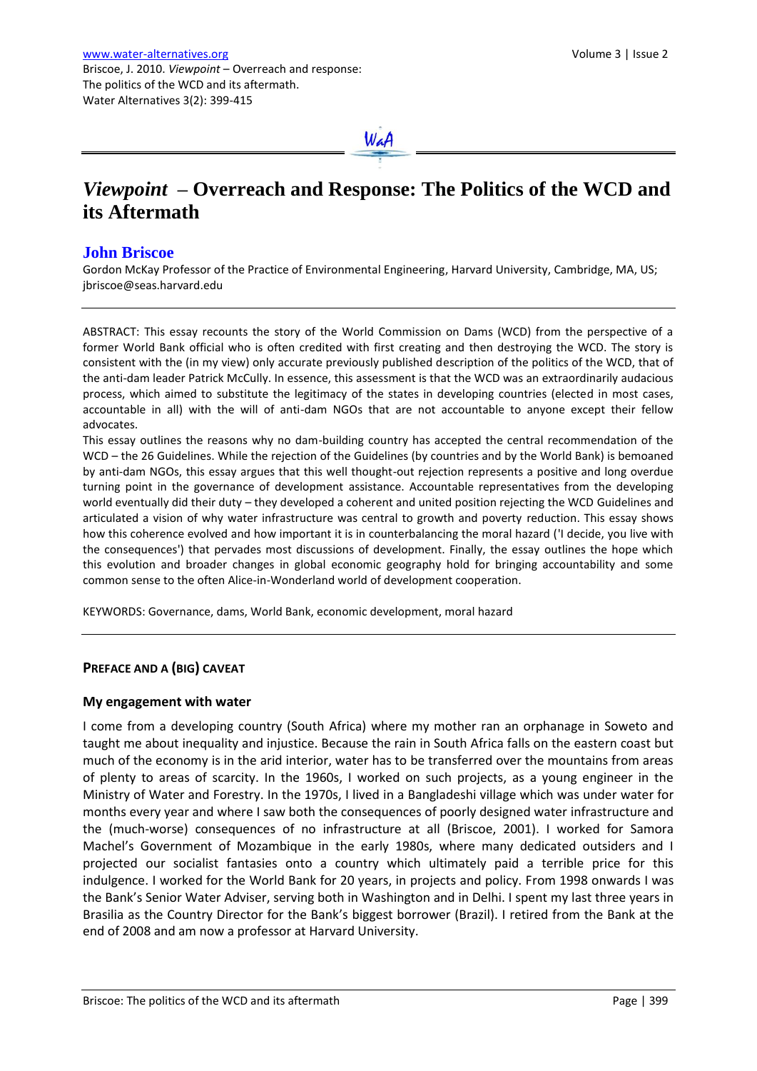

# *Viewpoint* **– Overreach and Response: The Politics of the WCD and its Aftermath**

## **John Briscoe**

Gordon McKay Professor of the Practice of Environmental Engineering, Harvard University, Cambridge, MA, US; jbriscoe@seas.harvard.edu

ABSTRACT: This essay recounts the story of the World Commission on Dams (WCD) from the perspective of a former World Bank official who is often credited with first creating and then destroying the WCD. The story is consistent with the (in my view) only accurate previously published description of the politics of the WCD, that of the anti-dam leader Patrick McCully. In essence, this assessment is that the WCD was an extraordinarily audacious process, which aimed to substitute the legitimacy of the states in developing countries (elected in most cases, accountable in all) with the will of anti-dam NGOs that are not accountable to anyone except their fellow advocates.

This essay outlines the reasons why no dam-building country has accepted the central recommendation of the WCD – the 26 Guidelines. While the rejection of the Guidelines (by countries and by the World Bank) is bemoaned by anti-dam NGOs, this essay argues that this well thought-out rejection represents a positive and long overdue turning point in the governance of development assistance. Accountable representatives from the developing world eventually did their duty – they developed a coherent and united position rejecting the WCD Guidelines and articulated a vision of why water infrastructure was central to growth and poverty reduction. This essay shows how this coherence evolved and how important it is in counterbalancing the moral hazard ('I decide, you live with the consequences') that pervades most discussions of development. Finally, the essay outlines the hope which this evolution and broader changes in global economic geography hold for bringing accountability and some common sense to the often Alice-in-Wonderland world of development cooperation.

KEYWORDS: Governance, dams, World Bank, economic development, moral hazard

## **PREFACE AND A (BIG) CAVEAT**

## **My engagement with water**

I come from a developing country (South Africa) where my mother ran an orphanage in Soweto and taught me about inequality and injustice. Because the rain in South Africa falls on the eastern coast but much of the economy is in the arid interior, water has to be transferred over the mountains from areas of plenty to areas of scarcity. In the 1960s, I worked on such projects, as a young engineer in the Ministry of Water and Forestry. In the 1970s, I lived in a Bangladeshi village which was under water for months every year and where I saw both the consequences of poorly designed water infrastructure and the (much-worse) consequences of no infrastructure at all (Briscoe, 2001). I worked for Samora Machel's Government of Mozambique in the early 1980s, where many dedicated outsiders and I projected our socialist fantasies onto a country which ultimately paid a terrible price for this indulgence. I worked for the World Bank for 20 years, in projects and policy. From 1998 onwards I was the Bank's Senior Water Adviser, serving both in Washington and in Delhi. I spent my last three years in Brasilia as the Country Director for the Bank's biggest borrower (Brazil). I retired from the Bank at the end of 2008 and am now a professor at Harvard University.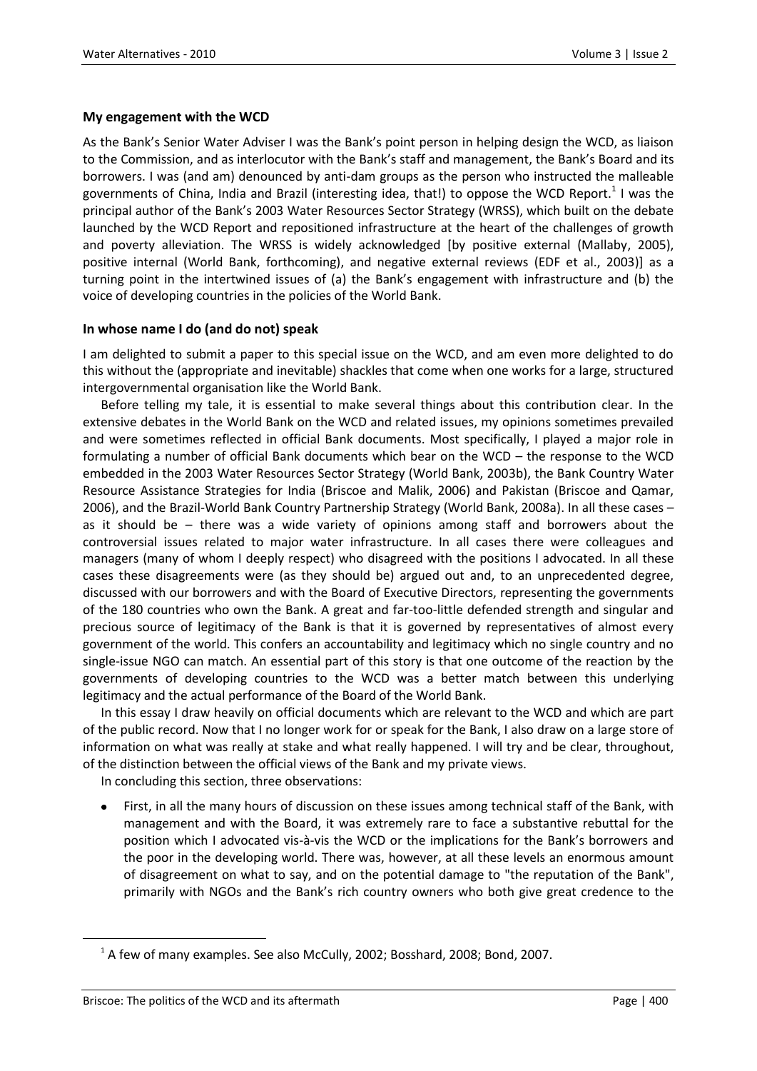## **My engagement with the WCD**

As the Bank's Senior Water Adviser I was the Bank's point person in helping design the WCD, as liaison to the Commission, and as interlocutor with the Bank's staff and management, the Bank's Board and its borrowers. I was (and am) denounced by anti-dam groups as the person who instructed the malleable governments of China, India and Brazil (interesting idea, that!) to oppose the WCD Report.<sup>1</sup> I was the principal author of the Bank's 2003 Water Resources Sector Strategy (WRSS), which built on the debate launched by the WCD Report and repositioned infrastructure at the heart of the challenges of growth and poverty alleviation. The WRSS is widely acknowledged [by positive external (Mallaby, 2005), positive internal (World Bank, forthcoming), and negative external reviews (EDF et al., 2003)] as a turning point in the intertwined issues of (a) the Bank's engagement with infrastructure and (b) the voice of developing countries in the policies of the World Bank.

## **In whose name I do (and do not) speak**

I am delighted to submit a paper to this special issue on the WCD, and am even more delighted to do this without the (appropriate and inevitable) shackles that come when one works for a large, structured intergovernmental organisation like the World Bank.

Before telling my tale, it is essential to make several things about this contribution clear. In the extensive debates in the World Bank on the WCD and related issues, my opinions sometimes prevailed and were sometimes reflected in official Bank documents. Most specifically, I played a major role in formulating a number of official Bank documents which bear on the WCD – the response to the WCD embedded in the 2003 Water Resources Sector Strategy (World Bank, 2003b), the Bank Country Water Resource Assistance Strategies for India (Briscoe and Malik, 2006) and Pakistan (Briscoe and Qamar, 2006), and the Brazil-World Bank Country Partnership Strategy (World Bank, 2008a). In all these cases – as it should be – there was a wide variety of opinions among staff and borrowers about the controversial issues related to major water infrastructure. In all cases there were colleagues and managers (many of whom I deeply respect) who disagreed with the positions I advocated. In all these cases these disagreements were (as they should be) argued out and, to an unprecedented degree, discussed with our borrowers and with the Board of Executive Directors, representing the governments of the 180 countries who own the Bank. A great and far-too-little defended strength and singular and precious source of legitimacy of the Bank is that it is governed by representatives of almost every government of the world. This confers an accountability and legitimacy which no single country and no single-issue NGO can match. An essential part of this story is that one outcome of the reaction by the governments of developing countries to the WCD was a better match between this underlying legitimacy and the actual performance of the Board of the World Bank.

In this essay I draw heavily on official documents which are relevant to the WCD and which are part of the public record. Now that I no longer work for or speak for the Bank, I also draw on a large store of information on what was really at stake and what really happened. I will try and be clear, throughout, of the distinction between the official views of the Bank and my private views.

In concluding this section, three observations:

First, in all the many hours of discussion on these issues among technical staff of the Bank, with management and with the Board, it was extremely rare to face a substantive rebuttal for the position which I advocated vis-à-vis the WCD or the implications for the Bank's borrowers and the poor in the developing world. There was, however, at all these levels an enormous amount of disagreement on what to say, and on the potential damage to "the reputation of the Bank", primarily with NGOs and the Bank's rich country owners who both give great credence to the

 $1$  A few of many examples. See also McCully, 2002; Bosshard, 2008; Bond, 2007.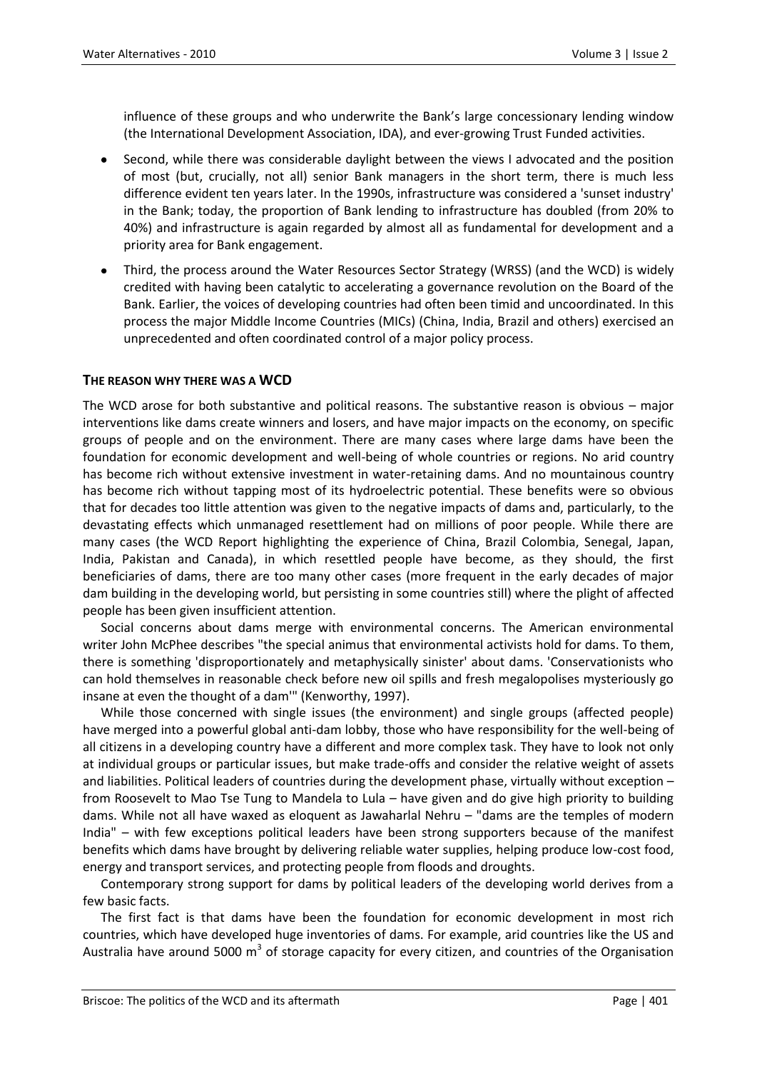influence of these groups and who underwrite the Bank's large concessionary lending window (the International Development Association, IDA), and ever-growing Trust Funded activities.

- Second, while there was considerable daylight between the views I advocated and the position of most (but, crucially, not all) senior Bank managers in the short term, there is much less difference evident ten years later. In the 1990s, infrastructure was considered a 'sunset industry' in the Bank; today, the proportion of Bank lending to infrastructure has doubled (from 20% to 40%) and infrastructure is again regarded by almost all as fundamental for development and a priority area for Bank engagement.
- Third, the process around the Water Resources Sector Strategy (WRSS) (and the WCD) is widely credited with having been catalytic to accelerating a governance revolution on the Board of the Bank. Earlier, the voices of developing countries had often been timid and uncoordinated. In this process the major Middle Income Countries (MICs) (China, India, Brazil and others) exercised an unprecedented and often coordinated control of a major policy process.

## **THE REASON WHY THERE WAS A WCD**

The WCD arose for both substantive and political reasons. The substantive reason is obvious – major interventions like dams create winners and losers, and have major impacts on the economy, on specific groups of people and on the environment. There are many cases where large dams have been the foundation for economic development and well-being of whole countries or regions. No arid country has become rich without extensive investment in water-retaining dams. And no mountainous country has become rich without tapping most of its hydroelectric potential. These benefits were so obvious that for decades too little attention was given to the negative impacts of dams and, particularly, to the devastating effects which unmanaged resettlement had on millions of poor people. While there are many cases (the WCD Report highlighting the experience of China, Brazil Colombia, Senegal, Japan, India, Pakistan and Canada), in which resettled people have become, as they should, the first beneficiaries of dams, there are too many other cases (more frequent in the early decades of major dam building in the developing world, but persisting in some countries still) where the plight of affected people has been given insufficient attention.

Social concerns about dams merge with environmental concerns. The American environmental writer John McPhee describes "the special animus that environmental activists hold for dams. To them, there is something 'disproportionately and metaphysically sinister' about dams. 'Conservationists who can hold themselves in reasonable check before new oil spills and fresh megalopolises mysteriously go insane at even the thought of a dam'" (Kenworthy, 1997).

While those concerned with single issues (the environment) and single groups (affected people) have merged into a powerful global anti-dam lobby, those who have responsibility for the well-being of all citizens in a developing country have a different and more complex task. They have to look not only at individual groups or particular issues, but make trade-offs and consider the relative weight of assets and liabilities. Political leaders of countries during the development phase, virtually without exception – from Roosevelt to Mao Tse Tung to Mandela to Lula – have given and do give high priority to building dams. While not all have waxed as eloquent as Jawaharlal Nehru – "dams are the temples of modern India" – with few exceptions political leaders have been strong supporters because of the manifest benefits which dams have brought by delivering reliable water supplies, helping produce low-cost food, energy and transport services, and protecting people from floods and droughts.

Contemporary strong support for dams by political leaders of the developing world derives from a few basic facts.

The first fact is that dams have been the foundation for economic development in most rich countries, which have developed huge inventories of dams. For example, arid countries like the US and Australia have around 5000 m<sup>3</sup> of storage capacity for every citizen, and countries of the Organisation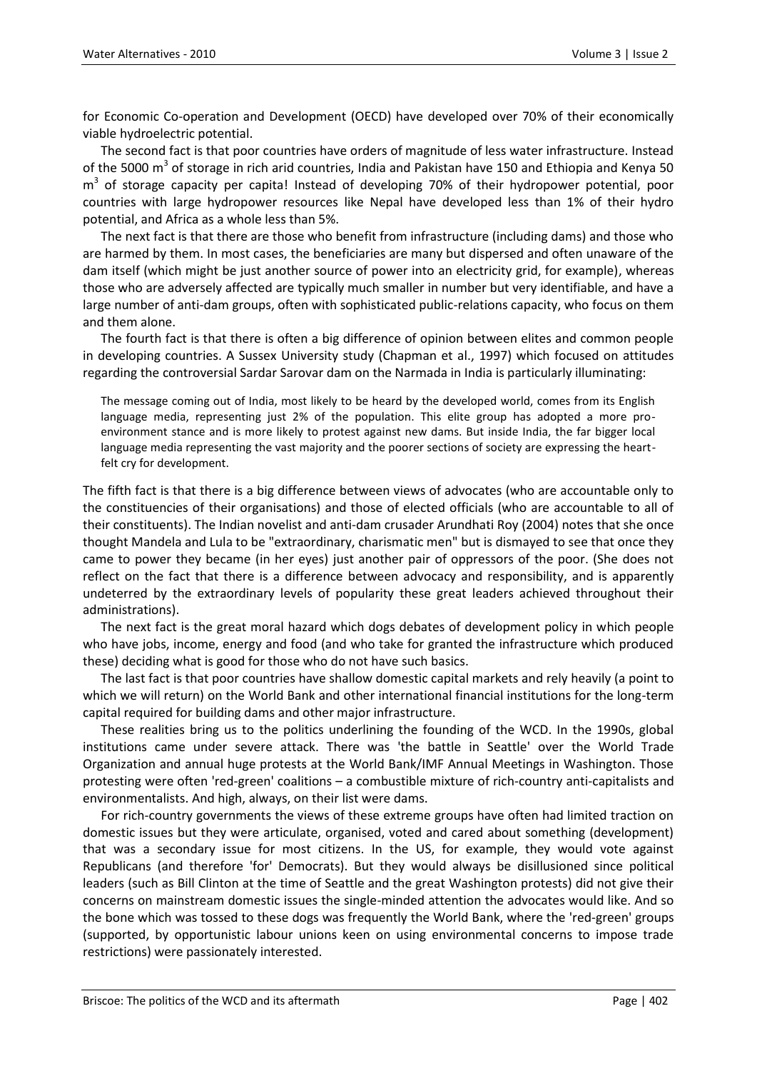for Economic Co-operation and Development (OECD) have developed over 70% of their economically viable hydroelectric potential.

The second fact is that poor countries have orders of magnitude of less water infrastructure. Instead of the 5000 m<sup>3</sup> of storage in rich arid countries, India and Pakistan have 150 and Ethiopia and Kenya 50 m<sup>3</sup> of storage capacity per capita! Instead of developing 70% of their hydropower potential, poor countries with large hydropower resources like Nepal have developed less than 1% of their hydro potential, and Africa as a whole less than 5%.

The next fact is that there are those who benefit from infrastructure (including dams) and those who are harmed by them. In most cases, the beneficiaries are many but dispersed and often unaware of the dam itself (which might be just another source of power into an electricity grid, for example), whereas those who are adversely affected are typically much smaller in number but very identifiable, and have a large number of anti-dam groups, often with sophisticated public-relations capacity, who focus on them and them alone.

The fourth fact is that there is often a big difference of opinion between elites and common people in developing countries. A Sussex University study (Chapman et al., 1997) which focused on attitudes regarding the controversial Sardar Sarovar dam on the Narmada in India is particularly illuminating:

The message coming out of India, most likely to be heard by the developed world, comes from its English language media, representing just 2% of the population. This elite group has adopted a more proenvironment stance and is more likely to protest against new dams. But inside India, the far bigger local language media representing the vast majority and the poorer sections of society are expressing the heartfelt cry for development.

The fifth fact is that there is a big difference between views of advocates (who are accountable only to the constituencies of their organisations) and those of elected officials (who are accountable to all of their constituents). The Indian novelist and anti-dam crusader Arundhati Roy (2004) notes that she once thought Mandela and Lula to be "extraordinary, charismatic men" but is dismayed to see that once they came to power they became (in her eyes) just another pair of oppressors of the poor. (She does not reflect on the fact that there is a difference between advocacy and responsibility, and is apparently undeterred by the extraordinary levels of popularity these great leaders achieved throughout their administrations).

The next fact is the great moral hazard which dogs debates of development policy in which people who have jobs, income, energy and food (and who take for granted the infrastructure which produced these) deciding what is good for those who do not have such basics.

The last fact is that poor countries have shallow domestic capital markets and rely heavily (a point to which we will return) on the World Bank and other international financial institutions for the long-term capital required for building dams and other major infrastructure.

These realities bring us to the politics underlining the founding of the WCD. In the 1990s, global institutions came under severe attack. There was 'the battle in Seattle' over the World Trade Organization and annual huge protests at the World Bank/IMF Annual Meetings in Washington. Those protesting were often 'red-green' coalitions – a combustible mixture of rich-country anti-capitalists and environmentalists. And high, always, on their list were dams.

For rich-country governments the views of these extreme groups have often had limited traction on domestic issues but they were articulate, organised, voted and cared about something (development) that was a secondary issue for most citizens. In the US, for example, they would vote against Republicans (and therefore 'for' Democrats). But they would always be disillusioned since political leaders (such as Bill Clinton at the time of Seattle and the great Washington protests) did not give their concerns on mainstream domestic issues the single-minded attention the advocates would like. And so the bone which was tossed to these dogs was frequently the World Bank, where the 'red-green' groups (supported, by opportunistic labour unions keen on using environmental concerns to impose trade restrictions) were passionately interested.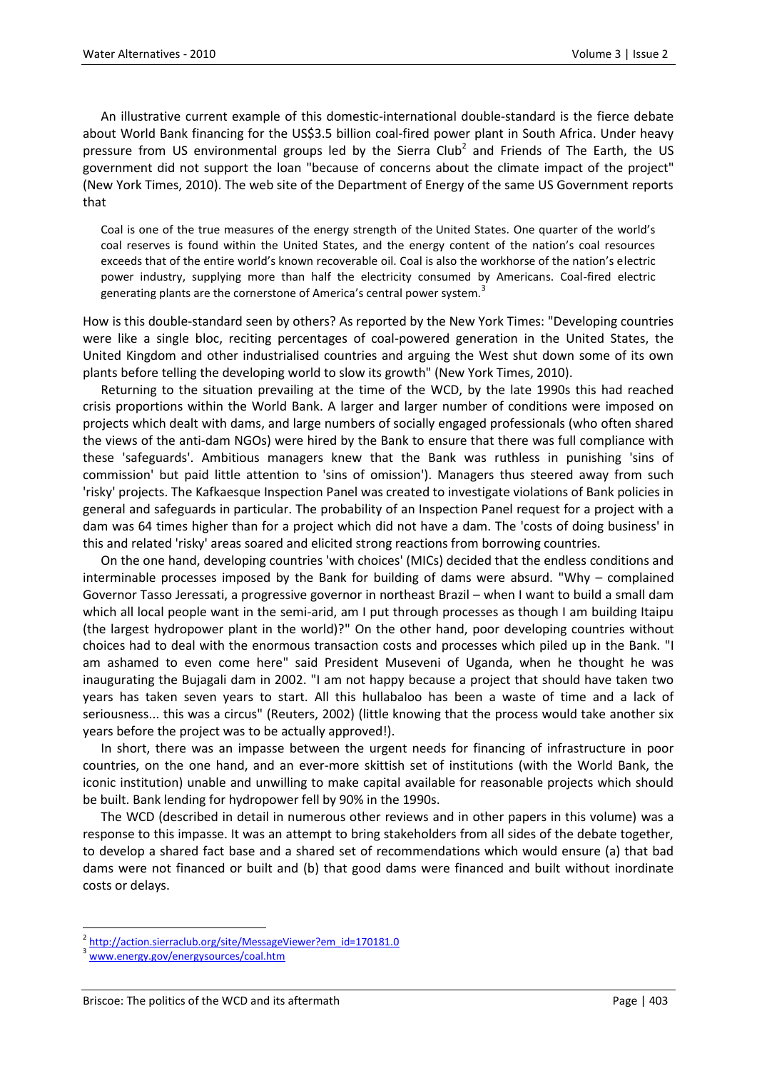An illustrative current example of this domestic-international double-standard is the fierce debate about World Bank financing for the US\$3.5 billion coal-fired power plant in South Africa. Under heavy pressure from US environmental groups led by the Sierra Club<sup>2</sup> and Friends of The Earth, the US government did not support the loan "because of concerns about the climate impact of the project" (New York Times, 2010). The web site of the Department of Energy of the same US Government reports that

Coal is one of the true measures of the energy strength of the United States. One quarter of the world's coal reserves is found within the United States, and the energy content of the nation's coal resources exceeds that of the entire world's known recoverable oil. Coal is also the workhorse of the nation's electric power industry, supplying more than half the electricity consumed by Americans. Coal-fired electric generating plants are the cornerstone of America's central power system.<sup>3</sup>

How is this double-standard seen by others? As reported by the New York Times: "Developing countries were like a single bloc, reciting percentages of coal-powered generation in the United States, the United Kingdom and other industrialised countries and arguing the West shut down some of its own plants before telling the developing world to slow its growth" (New York Times, 2010).

Returning to the situation prevailing at the time of the WCD, by the late 1990s this had reached crisis proportions within the World Bank. A larger and larger number of conditions were imposed on projects which dealt with dams, and large numbers of socially engaged professionals (who often shared the views of the anti-dam NGOs) were hired by the Bank to ensure that there was full compliance with these 'safeguards'. Ambitious managers knew that the Bank was ruthless in punishing 'sins of commission' but paid little attention to 'sins of omission'). Managers thus steered away from such 'risky' projects. The Kafkaesque Inspection Panel was created to investigate violations of Bank policies in general and safeguards in particular. The probability of an Inspection Panel request for a project with a dam was 64 times higher than for a project which did not have a dam. The 'costs of doing business' in this and related 'risky' areas soared and elicited strong reactions from borrowing countries.

On the one hand, developing countries 'with choices' (MICs) decided that the endless conditions and interminable processes imposed by the Bank for building of dams were absurd. "Why – complained Governor Tasso Jeressati, a progressive governor in northeast Brazil – when I want to build a small dam which all local people want in the semi-arid, am I put through processes as though I am building Itaipu (the largest hydropower plant in the world)?" On the other hand, poor developing countries without choices had to deal with the enormous transaction costs and processes which piled up in the Bank. "I am ashamed to even come here" said President Museveni of Uganda, when he thought he was inaugurating the Bujagali dam in 2002. "I am not happy because a project that should have taken two years has taken seven years to start. All this hullabaloo has been a waste of time and a lack of seriousness... this was a circus" (Reuters, 2002) (little knowing that the process would take another six years before the project was to be actually approved!).

In short, there was an impasse between the urgent needs for financing of infrastructure in poor countries, on the one hand, and an ever-more skittish set of institutions (with the World Bank, the iconic institution) unable and unwilling to make capital available for reasonable projects which should be built. Bank lending for hydropower fell by 90% in the 1990s.

The WCD (described in detail in numerous other reviews and in other papers in this volume) was a response to this impasse. It was an attempt to bring stakeholders from all sides of the debate together, to develop a shared fact base and a shared set of recommendations which would ensure (a) that bad dams were not financed or built and (b) that good dams were financed and built without inordinate costs or delays.

<sup>&</sup>lt;sup>2</sup> [http://action.sierraclub.org/site/MessageViewer?em\\_id=170181.0](http://action.sierraclub.org/site/MessageViewer?em_id=170181.0)

[www.energy.gov/energysources/coal.htm](http://www.energy.gov/energysources/coal.htm)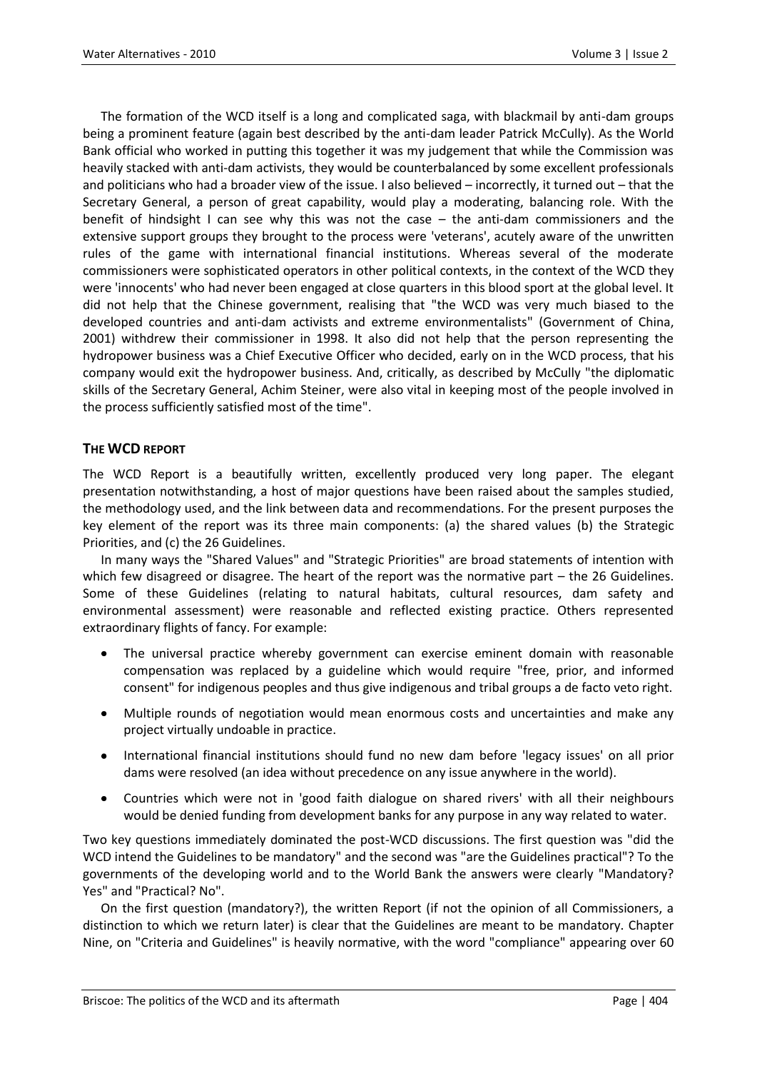The formation of the WCD itself is a long and complicated saga, with blackmail by anti-dam groups being a prominent feature (again best described by the anti-dam leader Patrick McCully). As the World Bank official who worked in putting this together it was my judgement that while the Commission was heavily stacked with anti-dam activists, they would be counterbalanced by some excellent professionals and politicians who had a broader view of the issue. I also believed – incorrectly, it turned out – that the Secretary General, a person of great capability, would play a moderating, balancing role. With the benefit of hindsight I can see why this was not the case – the anti-dam commissioners and the extensive support groups they brought to the process were 'veterans', acutely aware of the unwritten rules of the game with international financial institutions. Whereas several of the moderate commissioners were sophisticated operators in other political contexts, in the context of the WCD they were 'innocents' who had never been engaged at close quarters in this blood sport at the global level. It did not help that the Chinese government, realising that "the WCD was very much biased to the developed countries and anti-dam activists and extreme environmentalists" (Government of China, 2001) withdrew their commissioner in 1998. It also did not help that the person representing the hydropower business was a Chief Executive Officer who decided, early on in the WCD process, that his company would exit the hydropower business. And, critically, as described by McCully "the diplomatic skills of the Secretary General, Achim Steiner, were also vital in keeping most of the people involved in the process sufficiently satisfied most of the time".

## **THE WCD REPORT**

The WCD Report is a beautifully written, excellently produced very long paper. The elegant presentation notwithstanding, a host of major questions have been raised about the samples studied, the methodology used, and the link between data and recommendations. For the present purposes the key element of the report was its three main components: (a) the shared values (b) the Strategic Priorities, and (c) the 26 Guidelines.

In many ways the "Shared Values" and "Strategic Priorities" are broad statements of intention with which few disagreed or disagree. The heart of the report was the normative part – the 26 Guidelines. Some of these Guidelines (relating to natural habitats, cultural resources, dam safety and environmental assessment) were reasonable and reflected existing practice. Others represented extraordinary flights of fancy. For example:

- $\bullet$ The universal practice whereby government can exercise eminent domain with reasonable compensation was replaced by a guideline which would require "free, prior, and informed consent" for indigenous peoples and thus give indigenous and tribal groups a de facto veto right.
- Multiple rounds of negotiation would mean enormous costs and uncertainties and make any project virtually undoable in practice.
- International financial institutions should fund no new dam before 'legacy issues' on all prior dams were resolved (an idea without precedence on any issue anywhere in the world).
- Countries which were not in 'good faith dialogue on shared rivers' with all their neighbours would be denied funding from development banks for any purpose in any way related to water.

Two key questions immediately dominated the post-WCD discussions. The first question was "did the WCD intend the Guidelines to be mandatory" and the second was "are the Guidelines practical"? To the governments of the developing world and to the World Bank the answers were clearly "Mandatory? Yes" and "Practical? No".

On the first question (mandatory?), the written Report (if not the opinion of all Commissioners, a distinction to which we return later) is clear that the Guidelines are meant to be mandatory. Chapter Nine, on "Criteria and Guidelines" is heavily normative, with the word "compliance" appearing over 60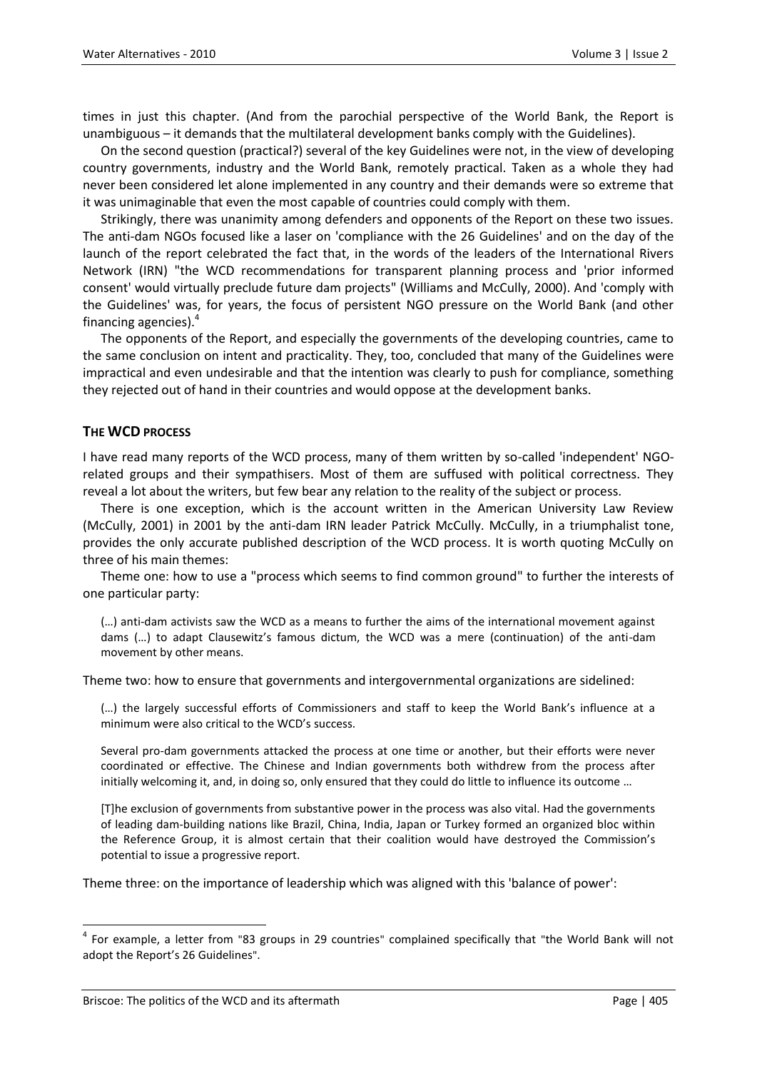times in just this chapter. (And from the parochial perspective of the World Bank, the Report is unambiguous – it demands that the multilateral development banks comply with the Guidelines).

On the second question (practical?) several of the key Guidelines were not, in the view of developing country governments, industry and the World Bank, remotely practical. Taken as a whole they had never been considered let alone implemented in any country and their demands were so extreme that it was unimaginable that even the most capable of countries could comply with them.

Strikingly, there was unanimity among defenders and opponents of the Report on these two issues. The anti-dam NGOs focused like a laser on 'compliance with the 26 Guidelines' and on the day of the launch of the report celebrated the fact that, in the words of the leaders of the International Rivers Network (IRN) "the WCD recommendations for transparent planning process and 'prior informed consent' would virtually preclude future dam projects" (Williams and McCully, 2000). And 'comply with the Guidelines' was, for years, the focus of persistent NGO pressure on the World Bank (and other financing agencies).<sup>4</sup>

The opponents of the Report, and especially the governments of the developing countries, came to the same conclusion on intent and practicality. They, too, concluded that many of the Guidelines were impractical and even undesirable and that the intention was clearly to push for compliance, something they rejected out of hand in their countries and would oppose at the development banks.

## **THE WCD PROCESS**

I have read many reports of the WCD process, many of them written by so-called 'independent' NGOrelated groups and their sympathisers. Most of them are suffused with political correctness. They reveal a lot about the writers, but few bear any relation to the reality of the subject or process.

There is one exception, which is the account written in the American University Law Review (McCully, 2001) in 2001 by the anti-dam IRN leader Patrick McCully. McCully, in a triumphalist tone, provides the only accurate published description of the WCD process. It is worth quoting McCully on three of his main themes:

Theme one: how to use a "process which seems to find common ground" to further the interests of one particular party:

(…) anti-dam activists saw the WCD as a means to further the aims of the international movement against dams (…) to adapt Clausewitz's famous dictum, the WCD was a mere (continuation) of the anti-dam movement by other means.

Theme two: how to ensure that governments and intergovernmental organizations are sidelined:

(…) the largely successful efforts of Commissioners and staff to keep the World Bank's influence at a minimum were also critical to the WCD's success.

Several pro-dam governments attacked the process at one time or another, but their efforts were never coordinated or effective. The Chinese and Indian governments both withdrew from the process after initially welcoming it, and, in doing so, only ensured that they could do little to influence its outcome …

[T]he exclusion of governments from substantive power in the process was also vital. Had the governments of leading dam-building nations like Brazil, China, India, Japan or Turkey formed an organized bloc within the Reference Group, it is almost certain that their coalition would have destroyed the Commission's potential to issue a progressive report.

Theme three: on the importance of leadership which was aligned with this 'balance of power':

<sup>4</sup> For example, a letter from "83 groups in 29 countries" complained specifically that "the World Bank will not adopt the Report's 26 Guidelines".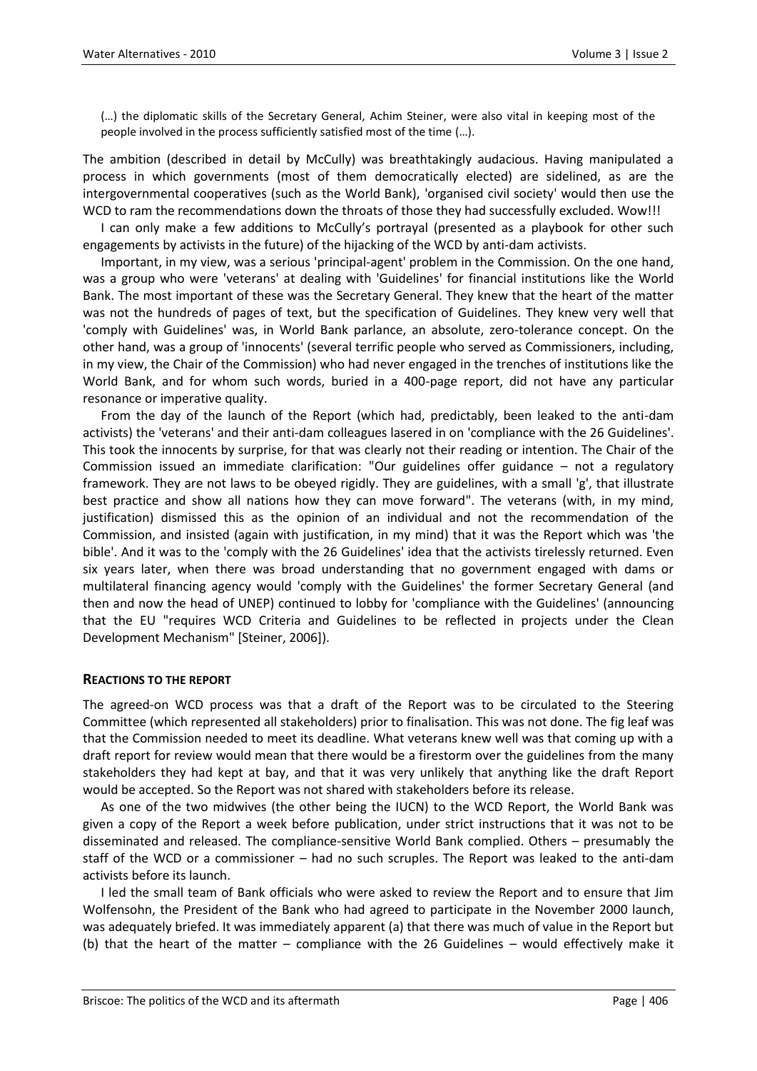(…) the diplomatic skills of the Secretary General, Achim Steiner, were also vital in keeping most of the people involved in the process sufficiently satisfied most of the time (…).

The ambition (described in detail by McCully) was breathtakingly audacious. Having manipulated a process in which governments (most of them democratically elected) are sidelined, as are the intergovernmental cooperatives (such as the World Bank), 'organised civil society' would then use the WCD to ram the recommendations down the throats of those they had successfully excluded. Wow!!!

I can only make a few additions to McCully's portrayal (presented as a playbook for other such engagements by activists in the future) of the hijacking of the WCD by anti-dam activists.

Important, in my view, was a serious 'principal-agent' problem in the Commission. On the one hand, was a group who were 'veterans' at dealing with 'Guidelines' for financial institutions like the World Bank. The most important of these was the Secretary General. They knew that the heart of the matter was not the hundreds of pages of text, but the specification of Guidelines. They knew very well that 'comply with Guidelines' was, in World Bank parlance, an absolute, zero-tolerance concept. On the other hand, was a group of 'innocents' (several terrific people who served as Commissioners, including, in my view, the Chair of the Commission) who had never engaged in the trenches of institutions like the World Bank, and for whom such words, buried in a 400-page report, did not have any particular resonance or imperative quality.

From the day of the launch of the Report (which had, predictably, been leaked to the anti-dam activists) the 'veterans' and their anti-dam colleagues lasered in on 'compliance with the 26 Guidelines'. This took the innocents by surprise, for that was clearly not their reading or intention. The Chair of the Commission issued an immediate clarification: "Our guidelines offer guidance – not a regulatory framework. They are not laws to be obeyed rigidly. They are guidelines, with a small 'g', that illustrate best practice and show all nations how they can move forward". The veterans (with, in my mind, justification) dismissed this as the opinion of an individual and not the recommendation of the Commission, and insisted (again with justification, in my mind) that it was the Report which was 'the bible'. And it was to the 'comply with the 26 Guidelines' idea that the activists tirelessly returned. Even six years later, when there was broad understanding that no government engaged with dams or multilateral financing agency would 'comply with the Guidelines' the former Secretary General (and then and now the head of UNEP) continued to lobby for 'compliance with the Guidelines' (announcing that the EU "requires WCD Criteria and Guidelines to be reflected in projects under the Clean Development Mechanism" [Steiner, 2006]).

## **REACTIONS TO THE REPORT**

The agreed-on WCD process was that a draft of the Report was to be circulated to the Steering Committee (which represented all stakeholders) prior to finalisation. This was not done. The fig leaf was that the Commission needed to meet its deadline. What veterans knew well was that coming up with a draft report for review would mean that there would be a firestorm over the guidelines from the many stakeholders they had kept at bay, and that it was very unlikely that anything like the draft Report would be accepted. So the Report was not shared with stakeholders before its release.

As one of the two midwives (the other being the IUCN) to the WCD Report, the World Bank was given a copy of the Report a week before publication, under strict instructions that it was not to be disseminated and released. The compliance-sensitive World Bank complied. Others – presumably the staff of the WCD or a commissioner – had no such scruples. The Report was leaked to the anti-dam activists before its launch.

I led the small team of Bank officials who were asked to review the Report and to ensure that Jim Wolfensohn, the President of the Bank who had agreed to participate in the November 2000 launch, was adequately briefed. It was immediately apparent (a) that there was much of value in the Report but (b) that the heart of the matter – compliance with the 26 Guidelines – would effectively make it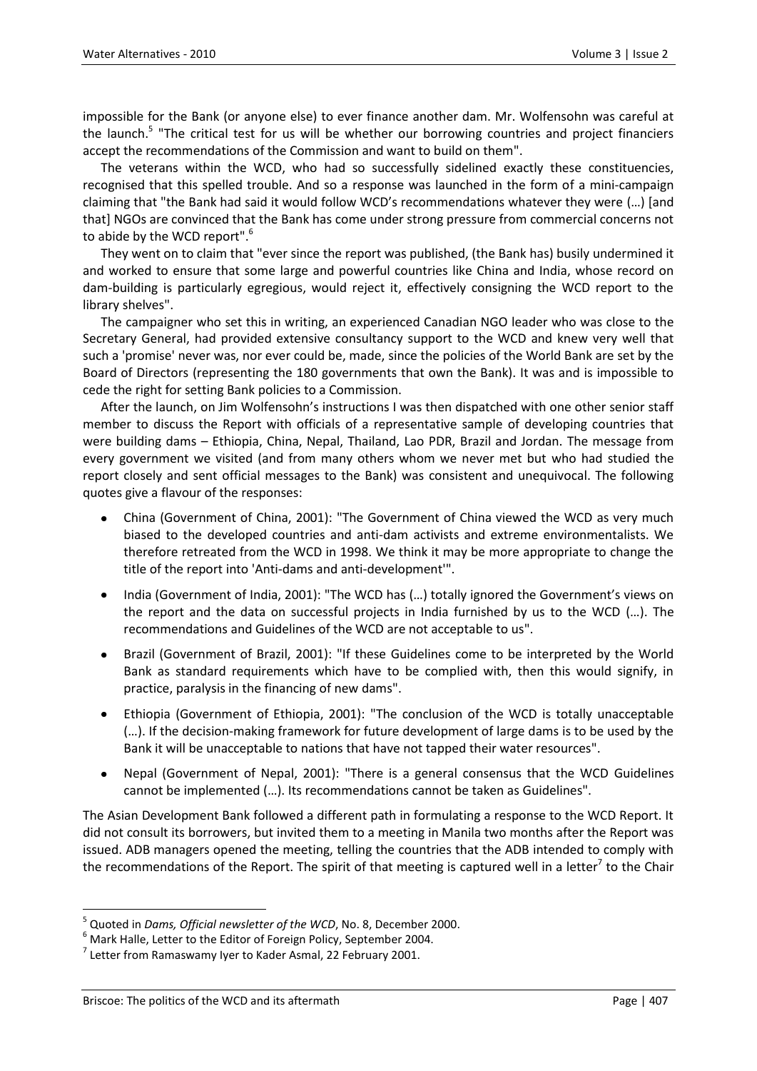impossible for the Bank (or anyone else) to ever finance another dam. Mr. Wolfensohn was careful at the launch.<sup>5</sup> "The critical test for us will be whether our borrowing countries and project financiers accept the recommendations of the Commission and want to build on them".

The veterans within the WCD, who had so successfully sidelined exactly these constituencies, recognised that this spelled trouble. And so a response was launched in the form of a mini-campaign claiming that "the Bank had said it would follow WCD's recommendations whatever they were (…) [and that] NGOs are convinced that the Bank has come under strong pressure from commercial concerns not to abide by the WCD report".<sup>6</sup>

They went on to claim that "ever since the report was published, (the Bank has) busily undermined it and worked to ensure that some large and powerful countries like China and India, whose record on dam-building is particularly egregious, would reject it, effectively consigning the WCD report to the library shelves".

The campaigner who set this in writing, an experienced Canadian NGO leader who was close to the Secretary General, had provided extensive consultancy support to the WCD and knew very well that such a 'promise' never was, nor ever could be, made, since the policies of the World Bank are set by the Board of Directors (representing the 180 governments that own the Bank). It was and is impossible to cede the right for setting Bank policies to a Commission.

After the launch, on Jim Wolfensohn's instructions I was then dispatched with one other senior staff member to discuss the Report with officials of a representative sample of developing countries that were building dams – Ethiopia, China, Nepal, Thailand, Lao PDR, Brazil and Jordan. The message from every government we visited (and from many others whom we never met but who had studied the report closely and sent official messages to the Bank) was consistent and unequivocal. The following quotes give a flavour of the responses:

- China (Government of China, 2001): "The Government of China viewed the WCD as very much biased to the developed countries and anti-dam activists and extreme environmentalists. We therefore retreated from the WCD in 1998. We think it may be more appropriate to change the title of the report into 'Anti-dams and anti-development'".
- India (Government of India, 2001): "The WCD has (…) totally ignored the Government's views on the report and the data on successful projects in India furnished by us to the WCD (…). The recommendations and Guidelines of the WCD are not acceptable to us".
- Brazil (Government of Brazil, 2001): "If these Guidelines come to be interpreted by the World Bank as standard requirements which have to be complied with, then this would signify, in practice, paralysis in the financing of new dams".
- Ethiopia (Government of Ethiopia, 2001): "The conclusion of the WCD is totally unacceptable (…). If the decision-making framework for future development of large dams is to be used by the Bank it will be unacceptable to nations that have not tapped their water resources".
- Nepal (Government of Nepal, 2001): "There is a general consensus that the WCD Guidelines cannot be implemented (…). Its recommendations cannot be taken as Guidelines".

The Asian Development Bank followed a different path in formulating a response to the WCD Report. It did not consult its borrowers, but invited them to a meeting in Manila two months after the Report was issued. ADB managers opened the meeting, telling the countries that the ADB intended to comply with the recommendations of the Report. The spirit of that meeting is captured well in a letter<sup>7</sup> to the Chair

<sup>5</sup> Quoted in *Dams, Official newsletter of the WCD*, No. 8, December 2000.

 $6$  Mark Halle, Letter to the Editor of Foreign Policy, September 2004.

 $^7$  Letter from Ramaswamy Iyer to Kader Asmal, 22 February 2001.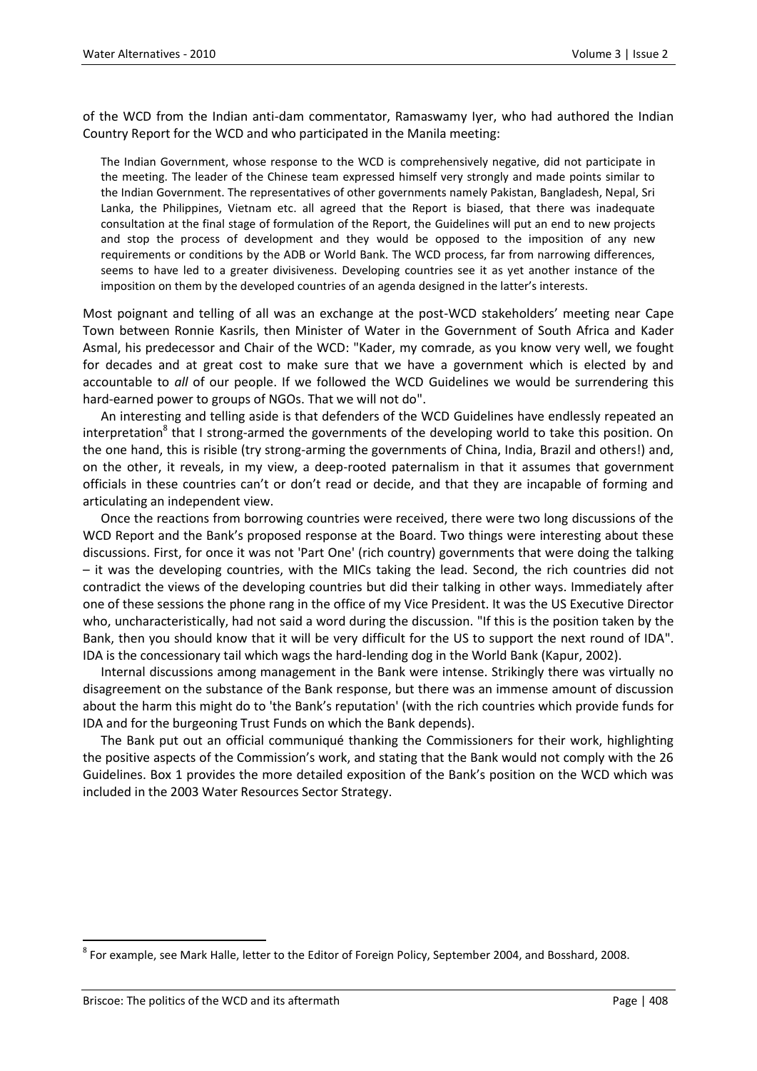of the WCD from the Indian anti-dam commentator, Ramaswamy Iyer, who had authored the Indian Country Report for the WCD and who participated in the Manila meeting:

The Indian Government, whose response to the WCD is comprehensively negative, did not participate in the meeting. The leader of the Chinese team expressed himself very strongly and made points similar to the Indian Government. The representatives of other governments namely Pakistan, Bangladesh, Nepal, Sri Lanka, the Philippines, Vietnam etc. all agreed that the Report is biased, that there was inadequate consultation at the final stage of formulation of the Report, the Guidelines will put an end to new projects and stop the process of development and they would be opposed to the imposition of any new requirements or conditions by the ADB or World Bank. The WCD process, far from narrowing differences, seems to have led to a greater divisiveness. Developing countries see it as yet another instance of the imposition on them by the developed countries of an agenda designed in the latter's interests.

Most poignant and telling of all was an exchange at the post-WCD stakeholders' meeting near Cape Town between Ronnie Kasrils, then Minister of Water in the Government of South Africa and Kader Asmal, his predecessor and Chair of the WCD: "Kader, my comrade, as you know very well, we fought for decades and at great cost to make sure that we have a government which is elected by and accountable to *all* of our people. If we followed the WCD Guidelines we would be surrendering this hard-earned power to groups of NGOs. That we will not do".

An interesting and telling aside is that defenders of the WCD Guidelines have endlessly repeated an interpretation<sup>8</sup> that I strong-armed the governments of the developing world to take this position. On the one hand, this is risible (try strong-arming the governments of China, India, Brazil and others!) and, on the other, it reveals, in my view, a deep-rooted paternalism in that it assumes that government officials in these countries can't or don't read or decide, and that they are incapable of forming and articulating an independent view.

Once the reactions from borrowing countries were received, there were two long discussions of the WCD Report and the Bank's proposed response at the Board. Two things were interesting about these discussions. First, for once it was not 'Part One' (rich country) governments that were doing the talking – it was the developing countries, with the MICs taking the lead. Second, the rich countries did not contradict the views of the developing countries but did their talking in other ways. Immediately after one of these sessions the phone rang in the office of my Vice President. It was the US Executive Director who, uncharacteristically, had not said a word during the discussion. "If this is the position taken by the Bank, then you should know that it will be very difficult for the US to support the next round of IDA". IDA is the concessionary tail which wags the hard-lending dog in the World Bank (Kapur, 2002).

Internal discussions among management in the Bank were intense. Strikingly there was virtually no disagreement on the substance of the Bank response, but there was an immense amount of discussion about the harm this might do to 'the Bank's reputation' (with the rich countries which provide funds for IDA and for the burgeoning Trust Funds on which the Bank depends).

The Bank put out an official communiqué thanking the Commissioners for their work, highlighting the positive aspects of the Commission's work, and stating that the Bank would not comply with the 26 Guidelines. Box 1 provides the more detailed exposition of the Bank's position on the WCD which was included in the 2003 Water Resources Sector Strategy.

<sup>&</sup>lt;sup>8</sup> For example, see Mark Halle, letter to the Editor of Foreign Policy, September 2004, and Bosshard, 2008.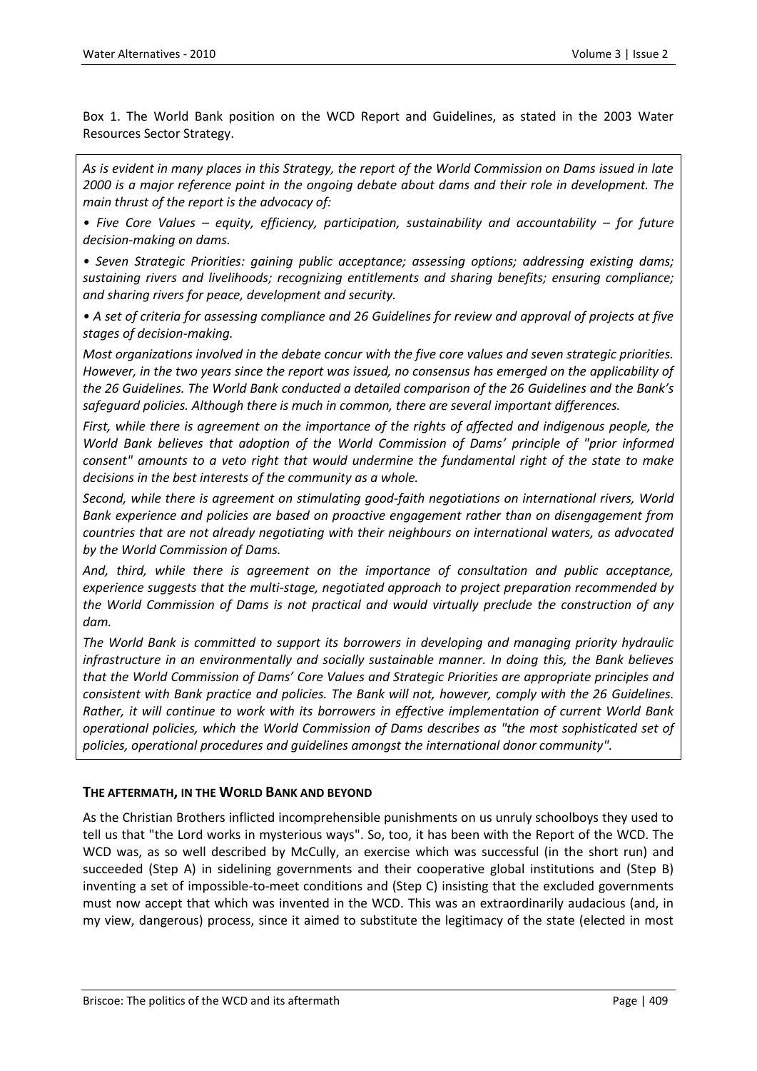Box 1. The World Bank position on the WCD Report and Guidelines, as stated in the 2003 Water Resources Sector Strategy.

*As is evident in many places in this Strategy, the report of the World Commission on Dams issued in late 2000 is a major reference point in the ongoing debate about dams and their role in development. The main thrust of the report is the advocacy of:* 

*• Five Core Values – equity, efficiency, participation, sustainability and accountability – for future decision-making on dams.*

*• Seven Strategic Priorities: gaining public acceptance; assessing options; addressing existing dams; sustaining rivers and livelihoods; recognizing entitlements and sharing benefits; ensuring compliance; and sharing rivers for peace, development and security.*

*• A set of criteria for assessing compliance and 26 Guidelines for review and approval of projects at five stages of decision-making.*

*Most organizations involved in the debate concur with the five core values and seven strategic priorities. However, in the two years since the report was issued, no consensus has emerged on the applicability of the 26 Guidelines. The World Bank conducted a detailed comparison of the 26 Guidelines and the Bank's safeguard policies. Although there is much in common, there are several important differences.*

*First, while there is agreement on the importance of the rights of affected and indigenous people, the World Bank believes that adoption of the World Commission of Dams' principle of "prior informed consent" amounts to a veto right that would undermine the fundamental right of the state to make decisions in the best interests of the community as a whole.*

*Second, while there is agreement on stimulating good-faith negotiations on international rivers, World Bank experience and policies are based on proactive engagement rather than on disengagement from countries that are not already negotiating with their neighbours on international waters, as advocated by the World Commission of Dams.*

*And, third, while there is agreement on the importance of consultation and public acceptance, experience suggests that the multi-stage, negotiated approach to project preparation recommended by the World Commission of Dams is not practical and would virtually preclude the construction of any dam.*

*The World Bank is committed to support its borrowers in developing and managing priority hydraulic infrastructure in an environmentally and socially sustainable manner. In doing this, the Bank believes that the World Commission of Dams' Core Values and Strategic Priorities are appropriate principles and consistent with Bank practice and policies. The Bank will not, however, comply with the 26 Guidelines. Rather, it will continue to work with its borrowers in effective implementation of current World Bank operational policies, which the World Commission of Dams describes as "the most sophisticated set of policies, operational procedures and guidelines amongst the international donor community".*

## **THE AFTERMATH, IN THE WORLD BANK AND BEYOND**

As the Christian Brothers inflicted incomprehensible punishments on us unruly schoolboys they used to tell us that "the Lord works in mysterious ways". So, too, it has been with the Report of the WCD. The WCD was, as so well described by McCully, an exercise which was successful (in the short run) and succeeded (Step A) in sidelining governments and their cooperative global institutions and (Step B) inventing a set of impossible-to-meet conditions and (Step C) insisting that the excluded governments must now accept that which was invented in the WCD. This was an extraordinarily audacious (and, in my view, dangerous) process, since it aimed to substitute the legitimacy of the state (elected in most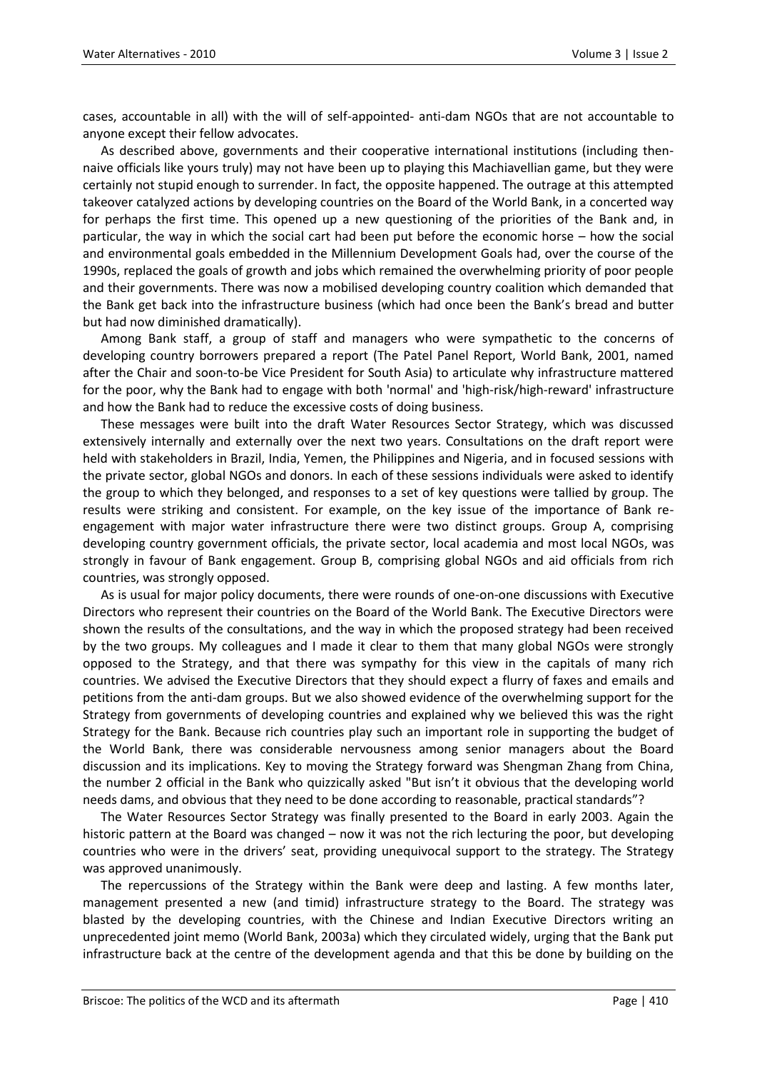cases, accountable in all) with the will of self-appointed- anti-dam NGOs that are not accountable to anyone except their fellow advocates.

As described above, governments and their cooperative international institutions (including thennaive officials like yours truly) may not have been up to playing this Machiavellian game, but they were certainly not stupid enough to surrender. In fact, the opposite happened. The outrage at this attempted takeover catalyzed actions by developing countries on the Board of the World Bank, in a concerted way for perhaps the first time. This opened up a new questioning of the priorities of the Bank and, in particular, the way in which the social cart had been put before the economic horse – how the social and environmental goals embedded in the Millennium Development Goals had, over the course of the 1990s, replaced the goals of growth and jobs which remained the overwhelming priority of poor people and their governments. There was now a mobilised developing country coalition which demanded that the Bank get back into the infrastructure business (which had once been the Bank's bread and butter but had now diminished dramatically).

Among Bank staff, a group of staff and managers who were sympathetic to the concerns of developing country borrowers prepared a report (The Patel Panel Report, World Bank, 2001, named after the Chair and soon-to-be Vice President for South Asia) to articulate why infrastructure mattered for the poor, why the Bank had to engage with both 'normal' and 'high-risk/high-reward' infrastructure and how the Bank had to reduce the excessive costs of doing business.

These messages were built into the draft Water Resources Sector Strategy, which was discussed extensively internally and externally over the next two years. Consultations on the draft report were held with stakeholders in Brazil, India, Yemen, the Philippines and Nigeria, and in focused sessions with the private sector, global NGOs and donors. In each of these sessions individuals were asked to identify the group to which they belonged, and responses to a set of key questions were tallied by group. The results were striking and consistent. For example, on the key issue of the importance of Bank reengagement with major water infrastructure there were two distinct groups. Group A, comprising developing country government officials, the private sector, local academia and most local NGOs, was strongly in favour of Bank engagement. Group B, comprising global NGOs and aid officials from rich countries, was strongly opposed.

As is usual for major policy documents, there were rounds of one-on-one discussions with Executive Directors who represent their countries on the Board of the World Bank. The Executive Directors were shown the results of the consultations, and the way in which the proposed strategy had been received by the two groups. My colleagues and I made it clear to them that many global NGOs were strongly opposed to the Strategy, and that there was sympathy for this view in the capitals of many rich countries. We advised the Executive Directors that they should expect a flurry of faxes and emails and petitions from the anti-dam groups. But we also showed evidence of the overwhelming support for the Strategy from governments of developing countries and explained why we believed this was the right Strategy for the Bank. Because rich countries play such an important role in supporting the budget of the World Bank, there was considerable nervousness among senior managers about the Board discussion and its implications. Key to moving the Strategy forward was Shengman Zhang from China, the number 2 official in the Bank who quizzically asked "But isn't it obvious that the developing world needs dams, and obvious that they need to be done according to reasonable, practical standards"?

The Water Resources Sector Strategy was finally presented to the Board in early 2003. Again the historic pattern at the Board was changed – now it was not the rich lecturing the poor, but developing countries who were in the drivers' seat, providing unequivocal support to the strategy. The Strategy was approved unanimously.

The repercussions of the Strategy within the Bank were deep and lasting. A few months later, management presented a new (and timid) infrastructure strategy to the Board. The strategy was blasted by the developing countries, with the Chinese and Indian Executive Directors writing an unprecedented joint memo (World Bank, 2003a) which they circulated widely, urging that the Bank put infrastructure back at the centre of the development agenda and that this be done by building on the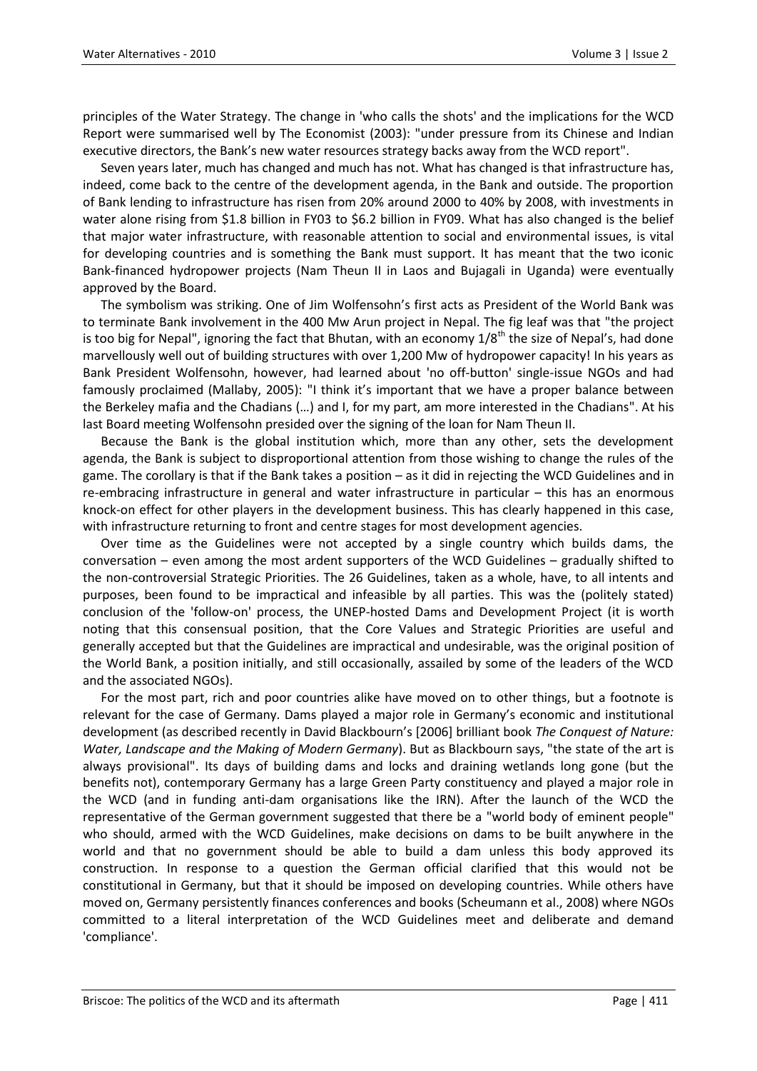principles of the Water Strategy. The change in 'who calls the shots' and the implications for the WCD Report were summarised well by The Economist (2003): "under pressure from its Chinese and Indian executive directors, the Bank's new water resources strategy backs away from the WCD report".

Seven years later, much has changed and much has not. What has changed is that infrastructure has, indeed, come back to the centre of the development agenda, in the Bank and outside. The proportion of Bank lending to infrastructure has risen from 20% around 2000 to 40% by 2008, with investments in water alone rising from \$1.8 billion in FY03 to \$6.2 billion in FY09. What has also changed is the belief that major water infrastructure, with reasonable attention to social and environmental issues, is vital for developing countries and is something the Bank must support. It has meant that the two iconic Bank-financed hydropower projects (Nam Theun II in Laos and Bujagali in Uganda) were eventually approved by the Board.

The symbolism was striking. One of Jim Wolfensohn's first acts as President of the World Bank was to terminate Bank involvement in the 400 Mw Arun project in Nepal. The fig leaf was that "the project is too big for Nepal", ignoring the fact that Bhutan, with an economy  $1/8^{th}$  the size of Nepal's, had done marvellously well out of building structures with over 1,200 Mw of hydropower capacity! In his years as Bank President Wolfensohn, however, had learned about 'no off-button' single-issue NGOs and had famously proclaimed (Mallaby, 2005): "I think it's important that we have a proper balance between the Berkeley mafia and the Chadians (…) and I, for my part, am more interested in the Chadians". At his last Board meeting Wolfensohn presided over the signing of the loan for Nam Theun II.

Because the Bank is the global institution which, more than any other, sets the development agenda, the Bank is subject to disproportional attention from those wishing to change the rules of the game. The corollary is that if the Bank takes a position – as it did in rejecting the WCD Guidelines and in re-embracing infrastructure in general and water infrastructure in particular – this has an enormous knock-on effect for other players in the development business. This has clearly happened in this case, with infrastructure returning to front and centre stages for most development agencies.

Over time as the Guidelines were not accepted by a single country which builds dams, the conversation – even among the most ardent supporters of the WCD Guidelines – gradually shifted to the non-controversial Strategic Priorities. The 26 Guidelines, taken as a whole, have, to all intents and purposes, been found to be impractical and infeasible by all parties. This was the (politely stated) conclusion of the 'follow-on' process, the UNEP-hosted Dams and Development Project (it is worth noting that this consensual position, that the Core Values and Strategic Priorities are useful and generally accepted but that the Guidelines are impractical and undesirable, was the original position of the World Bank, a position initially, and still occasionally, assailed by some of the leaders of the WCD and the associated NGOs).

For the most part, rich and poor countries alike have moved on to other things, but a footnote is relevant for the case of Germany. Dams played a major role in Germany's economic and institutional development (as described recently in David Blackbourn's [2006] brilliant book *The Conquest of Nature: Water, Landscape and the Making of Modern Germany*). But as Blackbourn says, "the state of the art is always provisional". Its days of building dams and locks and draining wetlands long gone (but the benefits not), contemporary Germany has a large Green Party constituency and played a major role in the WCD (and in funding anti-dam organisations like the IRN). After the launch of the WCD the representative of the German government suggested that there be a "world body of eminent people" who should, armed with the WCD Guidelines, make decisions on dams to be built anywhere in the world and that no government should be able to build a dam unless this body approved its construction. In response to a question the German official clarified that this would not be constitutional in Germany, but that it should be imposed on developing countries. While others have moved on, Germany persistently finances conferences and books (Scheumann et al., 2008) where NGOs committed to a literal interpretation of the WCD Guidelines meet and deliberate and demand 'compliance'.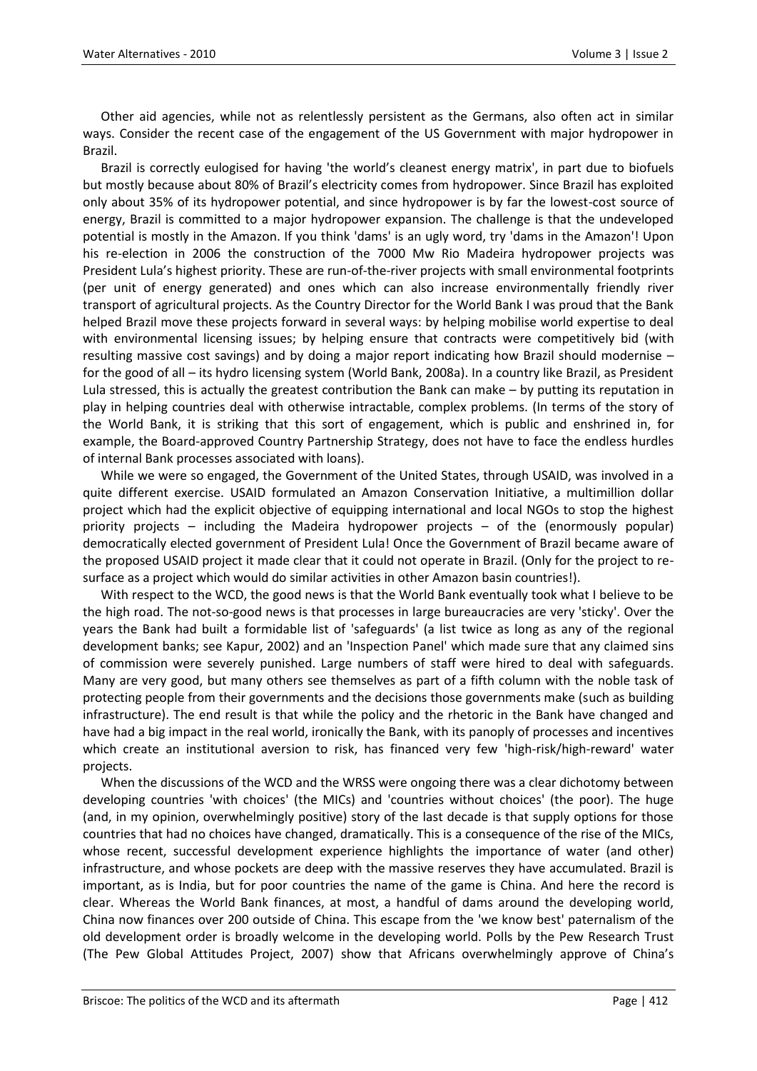Other aid agencies, while not as relentlessly persistent as the Germans, also often act in similar ways. Consider the recent case of the engagement of the US Government with major hydropower in Brazil.

Brazil is correctly eulogised for having 'the world's cleanest energy matrix', in part due to biofuels but mostly because about 80% of Brazil's electricity comes from hydropower. Since Brazil has exploited only about 35% of its hydropower potential, and since hydropower is by far the lowest-cost source of energy, Brazil is committed to a major hydropower expansion. The challenge is that the undeveloped potential is mostly in the Amazon. If you think 'dams' is an ugly word, try 'dams in the Amazon'! Upon his re-election in 2006 the construction of the 7000 Mw Rio Madeira hydropower projects was President Lula's highest priority. These are run-of-the-river projects with small environmental footprints (per unit of energy generated) and ones which can also increase environmentally friendly river transport of agricultural projects. As the Country Director for the World Bank I was proud that the Bank helped Brazil move these projects forward in several ways: by helping mobilise world expertise to deal with environmental licensing issues; by helping ensure that contracts were competitively bid (with resulting massive cost savings) and by doing a major report indicating how Brazil should modernise – for the good of all – its hydro licensing system (World Bank, 2008a). In a country like Brazil, as President Lula stressed, this is actually the greatest contribution the Bank can make – by putting its reputation in play in helping countries deal with otherwise intractable, complex problems. (In terms of the story of the World Bank, it is striking that this sort of engagement, which is public and enshrined in, for example, the Board-approved Country Partnership Strategy, does not have to face the endless hurdles of internal Bank processes associated with loans).

While we were so engaged, the Government of the United States, through USAID, was involved in a quite different exercise. USAID formulated an Amazon Conservation Initiative, a multimillion dollar project which had the explicit objective of equipping international and local NGOs to stop the highest priority projects – including the Madeira hydropower projects – of the (enormously popular) democratically elected government of President Lula! Once the Government of Brazil became aware of the proposed USAID project it made clear that it could not operate in Brazil. (Only for the project to resurface as a project which would do similar activities in other Amazon basin countries!).

With respect to the WCD, the good news is that the World Bank eventually took what I believe to be the high road. The not-so-good news is that processes in large bureaucracies are very 'sticky'. Over the years the Bank had built a formidable list of 'safeguards' (a list twice as long as any of the regional development banks; see Kapur, 2002) and an 'Inspection Panel' which made sure that any claimed sins of commission were severely punished. Large numbers of staff were hired to deal with safeguards. Many are very good, but many others see themselves as part of a fifth column with the noble task of protecting people from their governments and the decisions those governments make (such as building infrastructure). The end result is that while the policy and the rhetoric in the Bank have changed and have had a big impact in the real world, ironically the Bank, with its panoply of processes and incentives which create an institutional aversion to risk, has financed very few 'high-risk/high-reward' water projects.

When the discussions of the WCD and the WRSS were ongoing there was a clear dichotomy between developing countries 'with choices' (the MICs) and 'countries without choices' (the poor). The huge (and, in my opinion, overwhelmingly positive) story of the last decade is that supply options for those countries that had no choices have changed, dramatically. This is a consequence of the rise of the MICs, whose recent, successful development experience highlights the importance of water (and other) infrastructure, and whose pockets are deep with the massive reserves they have accumulated. Brazil is important, as is India, but for poor countries the name of the game is China. And here the record is clear. Whereas the World Bank finances, at most, a handful of dams around the developing world, China now finances over 200 outside of China. This escape from the 'we know best' paternalism of the old development order is broadly welcome in the developing world. Polls by the Pew Research Trust (The Pew Global Attitudes Project, 2007) show that Africans overwhelmingly approve of China's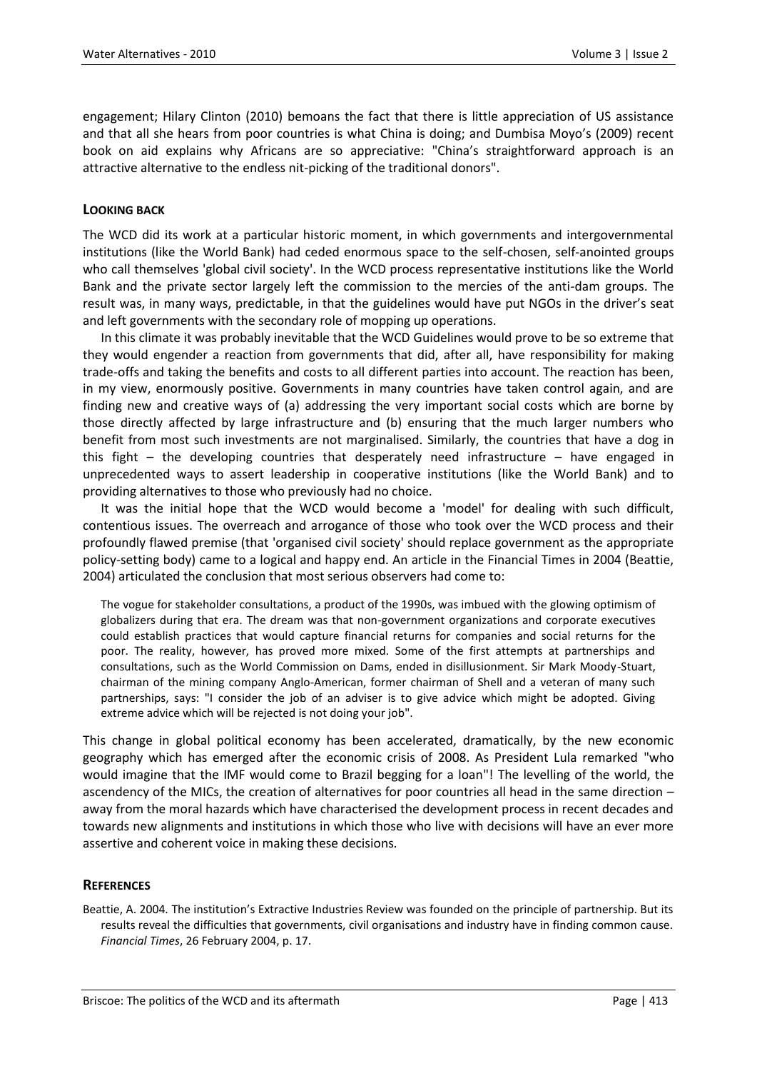engagement; Hilary Clinton (2010) bemoans the fact that there is little appreciation of US assistance and that all she hears from poor countries is what China is doing; and Dumbisa Moyo's (2009) recent book on aid explains why Africans are so appreciative: "China's straightforward approach is an attractive alternative to the endless nit-picking of the traditional donors".

## **LOOKING BACK**

The WCD did its work at a particular historic moment, in which governments and intergovernmental institutions (like the World Bank) had ceded enormous space to the self-chosen, self-anointed groups who call themselves 'global civil society'. In the WCD process representative institutions like the World Bank and the private sector largely left the commission to the mercies of the anti-dam groups. The result was, in many ways, predictable, in that the guidelines would have put NGOs in the driver's seat and left governments with the secondary role of mopping up operations.

In this climate it was probably inevitable that the WCD Guidelines would prove to be so extreme that they would engender a reaction from governments that did, after all, have responsibility for making trade-offs and taking the benefits and costs to all different parties into account. The reaction has been, in my view, enormously positive. Governments in many countries have taken control again, and are finding new and creative ways of (a) addressing the very important social costs which are borne by those directly affected by large infrastructure and (b) ensuring that the much larger numbers who benefit from most such investments are not marginalised. Similarly, the countries that have a dog in this fight – the developing countries that desperately need infrastructure – have engaged in unprecedented ways to assert leadership in cooperative institutions (like the World Bank) and to providing alternatives to those who previously had no choice.

It was the initial hope that the WCD would become a 'model' for dealing with such difficult, contentious issues. The overreach and arrogance of those who took over the WCD process and their profoundly flawed premise (that 'organised civil society' should replace government as the appropriate policy-setting body) came to a logical and happy end. An article in the Financial Times in 2004 (Beattie, 2004) articulated the conclusion that most serious observers had come to:

The vogue for stakeholder consultations, a product of the 1990s, was imbued with the glowing optimism of globalizers during that era. The dream was that non-government organizations and corporate executives could establish practices that would capture financial returns for companies and social returns for the poor. The reality, however, has proved more mixed. Some of the first attempts at partnerships and consultations, such as the World Commission on Dams, ended in disillusionment. Sir Mark Moody-Stuart, chairman of the mining company Anglo-American, former chairman of Shell and a veteran of many such partnerships, says: "I consider the job of an adviser is to give advice which might be adopted. Giving extreme advice which will be rejected is not doing your job".

This change in global political economy has been accelerated, dramatically, by the new economic geography which has emerged after the economic crisis of 2008. As President Lula remarked "who would imagine that the IMF would come to Brazil begging for a loan"! The levelling of the world, the ascendency of the MICs, the creation of alternatives for poor countries all head in the same direction – away from the moral hazards which have characterised the development process in recent decades and towards new alignments and institutions in which those who live with decisions will have an ever more assertive and coherent voice in making these decisions.

## **REFERENCES**

Beattie, A. 2004. The institution's Extractive Industries Review was founded on the principle of partnership. But its results reveal the difficulties that governments, civil organisations and industry have in finding common cause. *Financial Times*, 26 February 2004, p. 17.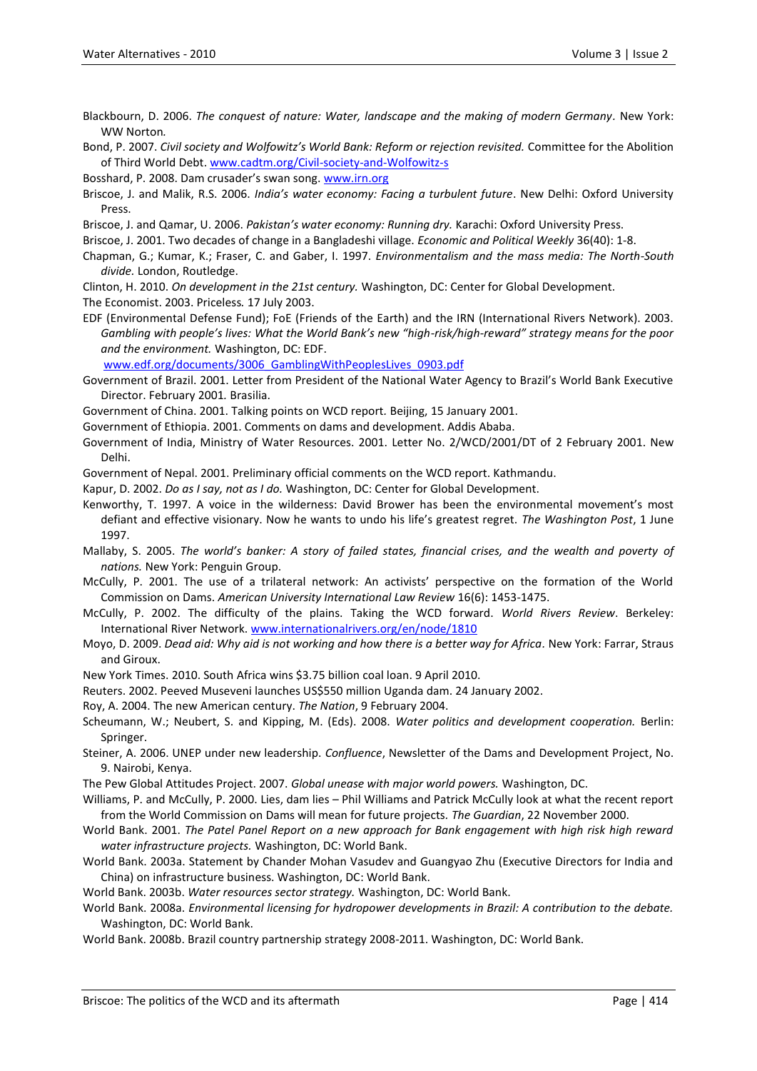Blackbourn, D. 2006. The conquest of nature: Water, landscape and the making of modern Germany. New York: WW Norton*.*

Bond, P. 2007. *Civil society and Wolfowitz's World Bank: Reform or rejection revisited.* Committee for the Abolition of Third World Debt. [www.cadtm.org/Civil-society-and-Wolfowitz-s](http://www.cadtm.org/Civil-society-and-Wolfowitz-s)

Bosshard, P. 2008. Dam crusader's swan song. [www.irn.org](http://www.irn.org/)

Briscoe, J. and Malik, R.S. 2006. *India's water economy: Facing a turbulent future*. New Delhi: Oxford University Press.

Briscoe, J. and Qamar, U. 2006. *Pakistan's water economy: Running dry.* Karachi: Oxford University Press.

Briscoe, J. 2001. Two decades of change in a Bangladeshi village. *Economic and Political Weekly* 36(40): 1-8.

Chapman, G.; Kumar, K.; Fraser, C. and Gaber, I. 1997. *Environmentalism and the mass media: The North-South divide.* London, Routledge.

Clinton, H. 2010. *On development in the 21st century.* Washington, DC: Center for Global Development. The Economist. 2003. Priceless*.* 17 July 2003.

EDF (Environmental Defense Fund); FoE (Friends of the Earth) and the IRN (International Rivers Network). 2003. *Gambling with people's lives: What the World Bank's new "high-risk/high-reward" strategy means for the poor and the environment.* Washington, DC: EDF.

[www.edf.org/documents/3006\\_GamblingWithPeoplesLives\\_0903.pdf](http://www.edf.org/documents/3006_GamblingWithPeoplesLives_0903.pdf)

Government of Brazil. 2001. Letter from President of the National Water Agency to Brazil's World Bank Executive Director. February 2001*.* Brasilia.

Government of China. 2001. Talking points on WCD report*.* Beijing, 15 January 2001.

Government of Ethiopia. 2001. Comments on dams and development. Addis Ababa.

Government of India, Ministry of Water Resources. 2001. Letter No. 2/WCD/2001/DT of 2 February 2001. New Delhi.

Government of Nepal. 2001. Preliminary official comments on the WCD report. Kathmandu.

Kapur, D. 2002. *Do as I say, not as I do.* Washington, DC: Center for Global Development.

Kenworthy, T. 1997. A voice in the wilderness: David Brower has been the environmental movement's most defiant and effective visionary. Now he wants to undo his life's greatest regret. *The Washington Post*, 1 June 1997.

- Mallaby, S. 2005. *The world's banker: A story of failed states, financial crises, and the wealth and poverty of nations.* New York: Penguin Group.
- McCully, P. 2001. The use of a trilateral network: An activists' perspective on the formation of the World Commission on Dams. *American University International Law Review* 16(6): 1453-1475.
- McCully, P. 2002. The difficulty of the plains. Taking the WCD forward. *World Rivers Review*. Berkeley: International River Network. [www.internationalrivers.org/en/node/1810](http://www.internationalrivers.org/en/node/1810)

Moyo, D. 2009. *[Dead aid: Why aid is not working and how there is a better way for Africa.](http://www.amazon.com/Dead-Aid-Working-Better-Africa/dp/0374532125/ref=sr_1_1?ie=UTF8&s=books&qid=1269653000&sr=8-1)* New York: Farrar, Straus and Giroux.

New York Times. 2010. South Africa wins \$3.75 billion coal loan. 9 April 2010.

Reuters. 2002. Peeved Museveni launches US\$550 million Uganda dam. 24 January 2002.

Roy, A. 2004. The new American century. *The Nation*, 9 February 2004.

Scheumann, W.; Neubert, S. and Kipping, M. (Eds). 2008. *Water politics and development cooperation.* Berlin: Springer.

Steiner, A. 2006. UNEP under new leadership. *Confluence*, Newsletter of the Dams and Development Project, No. 9. Nairobi, Kenya.

The Pew Global Attitudes Project. 2007. *Global unease with major world powers.* Washington, DC.

Williams, P. and McCully, P. 2000. Lies, dam lies – Phil Williams and Patrick McCully look at what the recent report from the World Commission on Dams will mean for future projects*. The Guardian*, 22 November 2000.

World Bank. 2001. *The Patel Panel Report on a new approach for Bank engagement with high risk high reward water infrastructure projects.* Washington, DC: World Bank.

World Bank. 2003a. Statement by Chander Mohan Vasudev and Guangyao Zhu (Executive Directors for India and China) on infrastructure business. Washington, DC: World Bank.

World Bank. 2003b. *Water resources sector strategy.* Washington, DC: World Bank.

World Bank. 2008a. *Environmental licensing for hydropower developments in Brazil: A contribution to the debate.* Washington, DC: World Bank.

World Bank. 2008b. Brazil country partnership strategy 2008-2011. Washington, DC: World Bank.